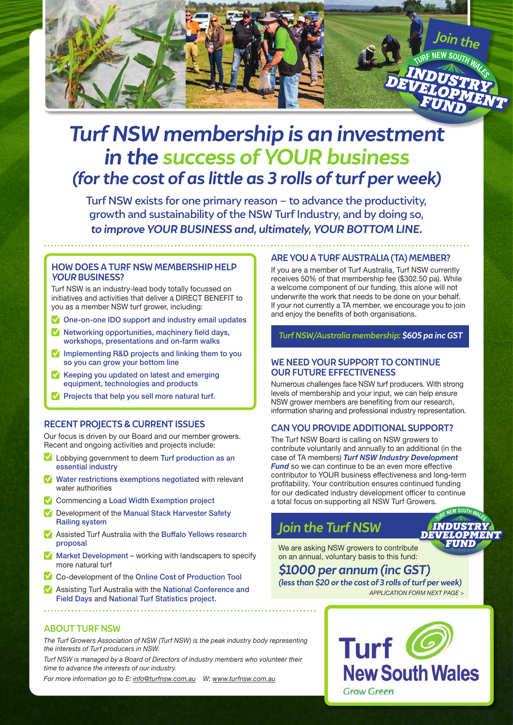

# *Turf NSW membership is an investment in the success of YOUR business (for the cost of as little as 3 rolls of turf per week)*

Turf NSW exists for one primary reason – to advance the productivity, growth and sustainability of the NSW Turf Industry, and by doing so, *to improve YOUR BUSINESS and, ultimately, YOUR BOTTOM LINE.*

### **HOW DOES A TURF NSW MEMBERSHIP HELP**  *YOUR* **BUSINESS?**

Turf NSW is an industry-lead body totally focussed on initiatives and activities that deliver a DIRECT BENEFIT to you as a member NSW turf grower, including:

- **V** One-on-one IDO support and industry email updates
- $\blacksquare$  Networking opportunities, machinery field days, workshops, presentations and on-farm walks
- $\blacksquare$  Implementing R&D projects and linking them to you so you can grow your bottom line
- $\blacksquare$  Keeping you updated on latest and emerging equipment, technologies and products
- Projects that help you sell more natural turf.

### **RECENT PROJECTS & CURRENT ISSUES**

Our focus is driven by our Board and our member growers. Recent and ongoing activities and projects include:

- Lobbying government to deem Turf production as an essential industry
- Water restrictions exemptions negotiated with relevant water authorities
- **Commencing a Load Width Exemption project**
- Development of the Manual Stack Harvester Safety Railing system
- Assisted Turf Australia with the Buffalo Yellows research proposal
- $\blacksquare$  Market Development working with landscapers to specify more natural turf
- Co-development of the Online Cost of Production Tool
- Assisting Turf Australia with the National Conference and Field Days and National Turf Statistics project.

### **ARE YOU A TURF AUSTRALIA (TA) MEMBER?**

If you are a member of Turf Australia, Turf NSW currently receives 50% of that membership fee (\$302.50 pa). While a welcome component of our funding, this alone will not underwrite the work that needs to be done on your behalf. If your not currently a TA member, we encourage you to join and enjoy the benefits of both organisations.

*Turf NSW/Australia membership: \$605 pa inc GST*

### **WE NEED YOUR SUPPORT TO CONTINUE OUR FUTURE EFFECTIVENESS**

Numerous challenges face NSW turf producers. With strong levels of membership and your input, we can help ensure NSW grower members are benefiting from our research, information sharing and professional industry representation.

### **CAN YOU PROVIDE ADDITIONAL SUPPORT?**

The Turf NSW Board is calling on NSW growers to contribute voluntarily and annually to an additional (in the case of TA members) *Turf NSW Industry Development Fund* so we can continue to be an even more effective contributor to YOUR business effectiveness and long-term profitability. Your contribution ensures continued funding for our dedicated industry development officer to continue a total focus on supporting all NSW Turf Growers.

# *Join the Turf NSW*

nЕ

We are asking NSW growers to contribute on an annual, voluntary basis to this fund:

### *\$1000 per annum (inc GST)*

*(less than \$20 or the cost of 3 rolls of turf per week) APPLICATION FORM NEXT PAGE >*



*The Turf Growers Association of NSW (Turf NSW) is the peak industry body representing the interests of Turf producers in NSW.*

*Turf NSW is managed by a Board of Directors of industry members who volunteer their time to advance the interests of our industry.*

*For more information go to E: info@turfnsw.com.au W: www.turfnsw.com.au*